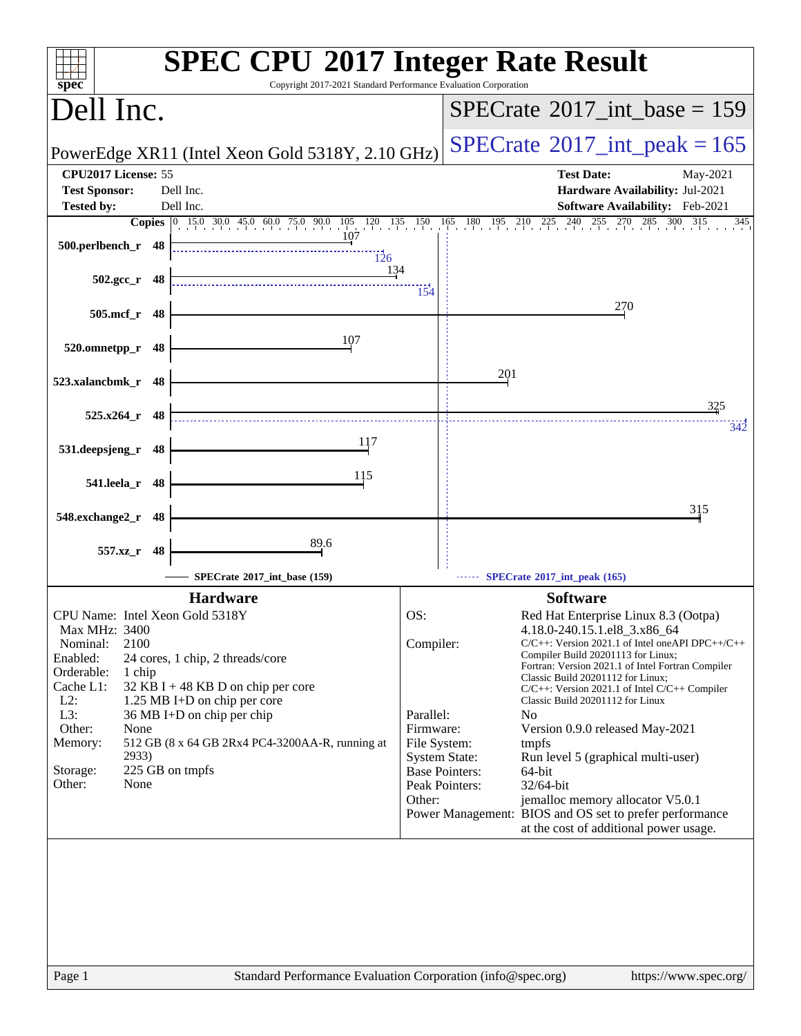|                                                                                            | <b>SPEC CPU®2017 Integer Rate Result</b>                                                          |
|--------------------------------------------------------------------------------------------|---------------------------------------------------------------------------------------------------|
| spec <sup>®</sup>                                                                          | Copyright 2017-2021 Standard Performance Evaluation Corporation                                   |
| Dell Inc.                                                                                  | $SPECTate@2017\_int\_base = 159$                                                                  |
| PowerEdge XR11 (Intel Xeon Gold 5318Y, 2.10 GHz)                                           | $SPECTate$ <sup>®</sup> 2017_int_peak = 165                                                       |
| CPU2017 License: 55                                                                        | <b>Test Date:</b><br>May-2021                                                                     |
| <b>Test Sponsor:</b><br>Dell Inc.<br>Dell Inc.<br><b>Tested by:</b>                        | Hardware Availability: Jul-2021<br>Software Availability: Feb-2021                                |
| Copies 0 15.0 30.0 45.0 60.0 75.0 90.0 105 120 135 150 165 180 195 210 225 240 255 270 285 | $300$ $315$<br>345                                                                                |
| 107<br>500.perlbench_r 48<br>$\frac{11}{126}$                                              |                                                                                                   |
| <u>13</u> 4<br>$502.\text{gcc}_r$ 48                                                       | 154                                                                                               |
| 505.mcf_r 48                                                                               | 270                                                                                               |
| 107<br>520.omnetpp_r<br>48                                                                 |                                                                                                   |
| 523.xalancbmk_r 48                                                                         | 201                                                                                               |
| $525.x264$ r 48                                                                            | 325<br>342                                                                                        |
| 117<br>531.deepsjeng_r 48                                                                  |                                                                                                   |
| 115<br>541.leela_r 48                                                                      |                                                                                                   |
| 548.exchange2_r<br>48                                                                      | 315                                                                                               |
| 89.6<br>557.xz_r 48                                                                        |                                                                                                   |
| SPECrate®2017_int_base (159)                                                               | SPECrate*2017_int_peak (165)                                                                      |
| <b>Hardware</b>                                                                            | <b>Software</b>                                                                                   |
| CPU Name: Intel Xeon Gold 5318Y                                                            | OS:<br>Red Hat Enterprise Linux 8.3 (Ootpa)                                                       |
| <b>Max MHz: 3400</b><br>Nominal:<br>2100                                                   | 4.18.0-240.15.1.el8_3.x86_64<br>Compiler:<br>C/C++: Version 2021.1 of Intel oneAPI DPC++/C++      |
| Enabled:<br>24 cores, 1 chip, 2 threads/core                                               | Compiler Build 20201113 for Linux;<br>Fortran: Version 2021.1 of Intel Fortran Compiler           |
| Orderable:<br>1 chip                                                                       | Classic Build 20201112 for Linux;                                                                 |
| Cache L1:<br>32 KB I + 48 KB D on chip per core<br>$L2$ :<br>1.25 MB I+D on chip per core  | $C/C++$ : Version 2021.1 of Intel $C/C++$ Compiler<br>Classic Build 20201112 for Linux            |
| 36 MB I+D on chip per chip<br>L3:                                                          | Parallel:<br>N <sub>0</sub>                                                                       |
| Other:<br>None<br>512 GB (8 x 64 GB 2Rx4 PC4-3200AA-R, running at                          | Firmware:<br>Version 0.9.0 released May-2021                                                      |
| Memory:<br>2933)                                                                           | File System:<br>tmpfs<br><b>System State:</b><br>Run level 5 (graphical multi-user)               |
| 225 GB on tmpfs<br>Storage:                                                                | <b>Base Pointers:</b><br>64-bit                                                                   |
| Other:<br>None                                                                             | Peak Pointers:<br>32/64-bit<br>Other:<br>jemalloc memory allocator V5.0.1                         |
|                                                                                            | Power Management: BIOS and OS set to prefer performance<br>at the cost of additional power usage. |
|                                                                                            |                                                                                                   |
|                                                                                            |                                                                                                   |
|                                                                                            |                                                                                                   |
|                                                                                            |                                                                                                   |
|                                                                                            |                                                                                                   |
|                                                                                            |                                                                                                   |
| Page 1                                                                                     | Standard Performance Evaluation Corporation (info@spec.org)<br>https://www.spec.org/              |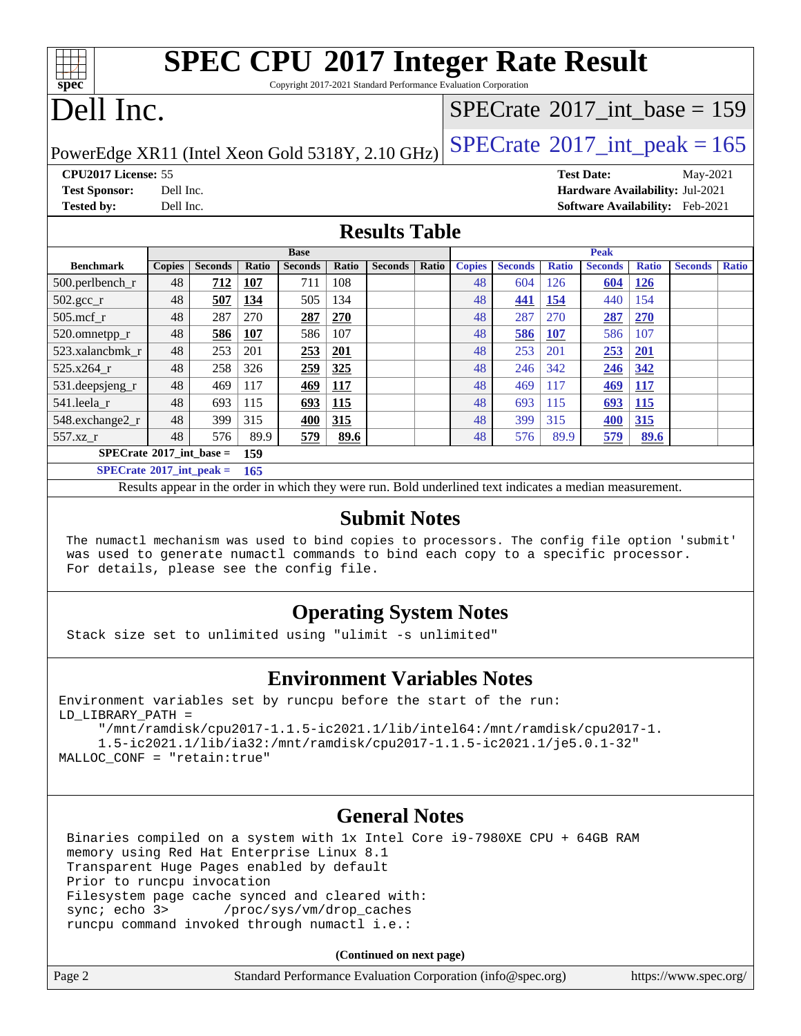| <b>SPEC CPU®2017 Integer Rate Result</b>                        |  |
|-----------------------------------------------------------------|--|
| Convright 2017-2021 Standard Performance Evaluation Corporation |  |

opyright 2017-2021 Standard Performance Evaluation Corporation

## Dell Inc.

**[spec](http://www.spec.org/)**

### $SPECTate$ <sup>®</sup>[2017\\_int\\_base =](http://www.spec.org/auto/cpu2017/Docs/result-fields.html#SPECrate2017intbase) 159

PowerEdge XR11 (Intel Xeon Gold 5318Y, 2.10 GHz)  $\text{SPECrate}^{\circ}2017\_int\_peak = 165$  $\text{SPECrate}^{\circ}2017\_int\_peak = 165$  $\text{SPECrate}^{\circ}2017\_int\_peak = 165$ 

**[CPU2017 License:](http://www.spec.org/auto/cpu2017/Docs/result-fields.html#CPU2017License)** 55 **[Test Date:](http://www.spec.org/auto/cpu2017/Docs/result-fields.html#TestDate)** May-2021 **[Test Sponsor:](http://www.spec.org/auto/cpu2017/Docs/result-fields.html#TestSponsor)** Dell Inc. **[Hardware Availability:](http://www.spec.org/auto/cpu2017/Docs/result-fields.html#HardwareAvailability)** Jul-2021 **[Tested by:](http://www.spec.org/auto/cpu2017/Docs/result-fields.html#Testedby)** Dell Inc. **[Software Availability:](http://www.spec.org/auto/cpu2017/Docs/result-fields.html#SoftwareAvailability)** Feb-2021

### **[Results Table](http://www.spec.org/auto/cpu2017/Docs/result-fields.html#ResultsTable)**

|                                   | <b>Base</b>   |                |       |                | <b>Peak</b> |                |       |               |                |              |                |              |                |              |
|-----------------------------------|---------------|----------------|-------|----------------|-------------|----------------|-------|---------------|----------------|--------------|----------------|--------------|----------------|--------------|
| <b>Benchmark</b>                  | <b>Copies</b> | <b>Seconds</b> | Ratio | <b>Seconds</b> | Ratio       | <b>Seconds</b> | Ratio | <b>Copies</b> | <b>Seconds</b> | <b>Ratio</b> | <b>Seconds</b> | <b>Ratio</b> | <b>Seconds</b> | <b>Ratio</b> |
| $500.$ perlbench_r                | 48            | 712            | 107   | 711            | 108         |                |       | 48            | 604            | 126          | 604            | <u>126</u>   |                |              |
| $502.\text{gcc}$ <sub>r</sub>     | 48            | 507            | 134   | 505            | 134         |                |       | 48            | 441            | 154          | 440            | 154          |                |              |
| $505$ .mcf r                      | 48            | 287            | 270   | 287            | 270         |                |       | 48            | 287            | 270          | 287            | 270          |                |              |
| 520.omnetpp_r                     | 48            | 586            | 107   | 586            | 107         |                |       | 48            | 586            | <b>107</b>   | 586            | 107          |                |              |
| 523.xalancbmk r                   | 48            | 253            | 201   | 253            | 201         |                |       | 48            | 253            | 201          | 253            | 201          |                |              |
| $525.x264$ r                      | 48            | 258            | 326   | 259            | 325         |                |       | 48            | 246            | 342          | 246            | 342          |                |              |
| 531.deepsjeng_r                   | 48            | 469            | 117   | 469            | <b>117</b>  |                |       | 48            | 469            | 117          | <u>469</u>     | 117          |                |              |
| 541.leela r                       | 48            | 693            | 115   | 693            | 115         |                |       | 48            | 693            | 115          | 693            | <b>115</b>   |                |              |
| 548.exchange2_r                   | 48            | 399            | 315   | 400            | 315         |                |       | 48            | 399            | 315          | 400            | 315          |                |              |
| 557.xz r                          | 48            | 576            | 89.9  | 579            | 89.6        |                |       | 48            | 576            | 89.9         | 579            | 89.6         |                |              |
| $SPECrate^{\circ}2017$ int base = |               |                | 159   |                |             |                |       |               |                |              |                |              |                |              |
| $SPECrate^{\circ}2017$ int peak = |               |                | 165   |                |             |                |       |               |                |              |                |              |                |              |

Results appear in the [order in which they were run.](http://www.spec.org/auto/cpu2017/Docs/result-fields.html#RunOrder) Bold underlined text [indicates a median measurement.](http://www.spec.org/auto/cpu2017/Docs/result-fields.html#Median)

### **[Submit Notes](http://www.spec.org/auto/cpu2017/Docs/result-fields.html#SubmitNotes)**

 The numactl mechanism was used to bind copies to processors. The config file option 'submit' was used to generate numactl commands to bind each copy to a specific processor. For details, please see the config file.

### **[Operating System Notes](http://www.spec.org/auto/cpu2017/Docs/result-fields.html#OperatingSystemNotes)**

Stack size set to unlimited using "ulimit -s unlimited"

### **[Environment Variables Notes](http://www.spec.org/auto/cpu2017/Docs/result-fields.html#EnvironmentVariablesNotes)**

```
Environment variables set by runcpu before the start of the run:
LD_LIBRARY_PATH =
      "/mnt/ramdisk/cpu2017-1.1.5-ic2021.1/lib/intel64:/mnt/ramdisk/cpu2017-1.
      1.5-ic2021.1/lib/ia32:/mnt/ramdisk/cpu2017-1.1.5-ic2021.1/je5.0.1-32"
MALLOC_CONF = "retain:true"
```
### **[General Notes](http://www.spec.org/auto/cpu2017/Docs/result-fields.html#GeneralNotes)**

 Binaries compiled on a system with 1x Intel Core i9-7980XE CPU + 64GB RAM memory using Red Hat Enterprise Linux 8.1 Transparent Huge Pages enabled by default Prior to runcpu invocation Filesystem page cache synced and cleared with: sync; echo 3> /proc/sys/vm/drop\_caches runcpu command invoked through numactl i.e.:

**(Continued on next page)**

| Page 2 | Standard Performance Evaluation Corporation (info@spec.org) | https://www.spec.org/ |
|--------|-------------------------------------------------------------|-----------------------|
|        |                                                             |                       |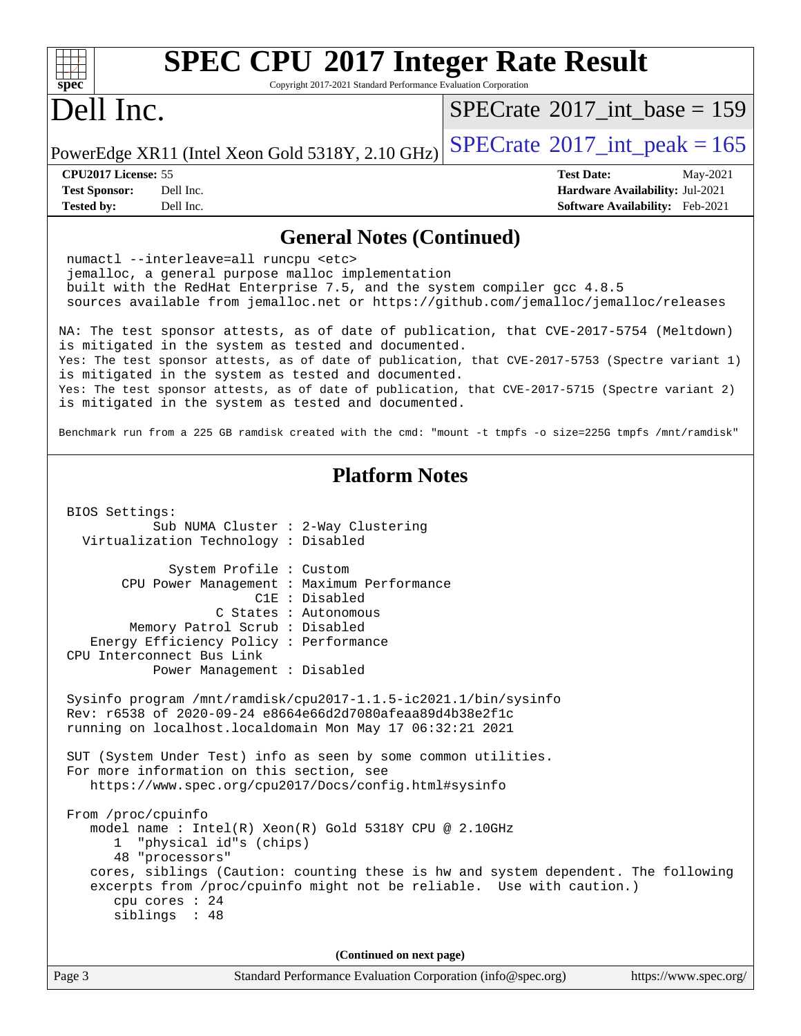| <b>SPEC CPU®2017 Integer Rate Result</b><br>Copyright 2017-2021 Standard Performance Evaluation Corporation<br>spec                                                                                                                                                                                                                                                                                                                                                                                                                                                                  |                                                                                                     |
|--------------------------------------------------------------------------------------------------------------------------------------------------------------------------------------------------------------------------------------------------------------------------------------------------------------------------------------------------------------------------------------------------------------------------------------------------------------------------------------------------------------------------------------------------------------------------------------|-----------------------------------------------------------------------------------------------------|
| Dell Inc.                                                                                                                                                                                                                                                                                                                                                                                                                                                                                                                                                                            | $SPECrate^{\circ}2017\_int\_base = 159$                                                             |
| PowerEdge XR11 (Intel Xeon Gold 5318Y, 2.10 GHz)                                                                                                                                                                                                                                                                                                                                                                                                                                                                                                                                     | $SPECrate^{\circ}2017\_int\_peak = 165$                                                             |
| CPU2017 License: 55<br><b>Test Sponsor:</b><br>Dell Inc.<br><b>Tested by:</b><br>Dell Inc.                                                                                                                                                                                                                                                                                                                                                                                                                                                                                           | <b>Test Date:</b><br>May-2021<br>Hardware Availability: Jul-2021<br>Software Availability: Feb-2021 |
| <b>General Notes (Continued)</b>                                                                                                                                                                                                                                                                                                                                                                                                                                                                                                                                                     |                                                                                                     |
| numactl --interleave=all runcpu <etc><br/>jemalloc, a general purpose malloc implementation<br/>built with the RedHat Enterprise 7.5, and the system compiler gcc 4.8.5<br/>sources available from jemalloc.net or https://github.com/jemalloc/jemalloc/releases</etc>                                                                                                                                                                                                                                                                                                               |                                                                                                     |
| NA: The test sponsor attests, as of date of publication, that CVE-2017-5754 (Meltdown)<br>is mitigated in the system as tested and documented.<br>Yes: The test sponsor attests, as of date of publication, that CVE-2017-5753 (Spectre variant 1)<br>is mitigated in the system as tested and documented.<br>Yes: The test sponsor attests, as of date of publication, that CVE-2017-5715 (Spectre variant 2)<br>is mitigated in the system as tested and documented.<br>Benchmark run from a 225 GB ramdisk created with the cmd: "mount -t tmpfs -o size=225G tmpfs /mnt/ramdisk" |                                                                                                     |
| <b>Platform Notes</b>                                                                                                                                                                                                                                                                                                                                                                                                                                                                                                                                                                |                                                                                                     |
| BIOS Settings:<br>Sub NUMA Cluster : 2-Way Clustering<br>Virtualization Technology : Disabled                                                                                                                                                                                                                                                                                                                                                                                                                                                                                        |                                                                                                     |
| System Profile : Custom<br>CPU Power Management : Maximum Performance<br>C1E : Disabled<br>C States : Autonomous<br>Memory Patrol Scrub : Disabled<br>Energy Efficiency Policy : Performance<br>CPU Interconnect Bus Link<br>Power Management : Disabled                                                                                                                                                                                                                                                                                                                             |                                                                                                     |
| Sysinfo program /mnt/ramdisk/cpu2017-1.1.5-ic2021.1/bin/sysinfo<br>Rev: r6538 of 2020-09-24 e8664e66d2d7080afeaa89d4b38e2f1c<br>running on localhost.localdomain Mon May 17 06:32:21 2021                                                                                                                                                                                                                                                                                                                                                                                            |                                                                                                     |
| SUT (System Under Test) info as seen by some common utilities.<br>For more information on this section, see<br>https://www.spec.org/cpu2017/Docs/config.html#sysinfo                                                                                                                                                                                                                                                                                                                                                                                                                 |                                                                                                     |
| From /proc/cpuinfo<br>model name: $Intel(R)$ Xeon $(R)$ Gold 5318Y CPU @ 2.10GHz<br>"physical id"s (chips)<br>ı.<br>48 "processors"<br>cores, siblings (Caution: counting these is hw and system dependent. The following<br>excerpts from /proc/cpuinfo might not be reliable. Use with caution.)<br>cpu cores : 24                                                                                                                                                                                                                                                                 |                                                                                                     |

**(Continued on next page)**

siblings : 48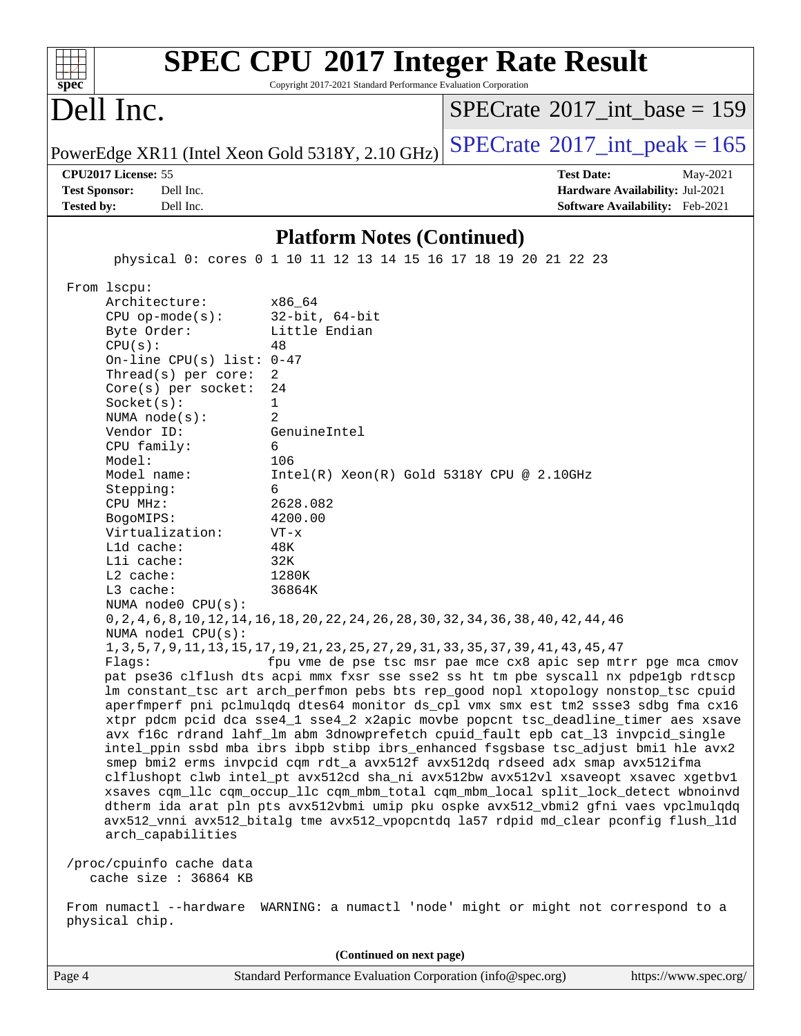| $spec^*$                                                                                                                                                                                                                                                       | <b>SPEC CPU®2017 Integer Rate Result</b><br>Copyright 2017-2021 Standard Performance Evaluation Corporation                                                                                                               |                                                                                                                                                                                                                                                                                                                                                                                                                                                                                                                                                                                                                                                                                                                                                                                                                                                                                                                                                                                                                                                                                                                                      |
|----------------------------------------------------------------------------------------------------------------------------------------------------------------------------------------------------------------------------------------------------------------|---------------------------------------------------------------------------------------------------------------------------------------------------------------------------------------------------------------------------|--------------------------------------------------------------------------------------------------------------------------------------------------------------------------------------------------------------------------------------------------------------------------------------------------------------------------------------------------------------------------------------------------------------------------------------------------------------------------------------------------------------------------------------------------------------------------------------------------------------------------------------------------------------------------------------------------------------------------------------------------------------------------------------------------------------------------------------------------------------------------------------------------------------------------------------------------------------------------------------------------------------------------------------------------------------------------------------------------------------------------------------|
| Dell Inc.                                                                                                                                                                                                                                                      |                                                                                                                                                                                                                           | $SPECrate^{\circledast}2017$ int base = 159                                                                                                                                                                                                                                                                                                                                                                                                                                                                                                                                                                                                                                                                                                                                                                                                                                                                                                                                                                                                                                                                                          |
|                                                                                                                                                                                                                                                                | PowerEdge XR11 (Intel Xeon Gold 5318Y, 2.10 GHz)                                                                                                                                                                          | $SPECTate$ <sup>®</sup> 2017_int_peak = 165                                                                                                                                                                                                                                                                                                                                                                                                                                                                                                                                                                                                                                                                                                                                                                                                                                                                                                                                                                                                                                                                                          |
| CPU2017 License: 55<br>Dell Inc.<br><b>Test Sponsor:</b><br><b>Tested by:</b><br>Dell Inc.                                                                                                                                                                     |                                                                                                                                                                                                                           | <b>Test Date:</b><br>May-2021<br>Hardware Availability: Jul-2021<br>Software Availability: Feb-2021                                                                                                                                                                                                                                                                                                                                                                                                                                                                                                                                                                                                                                                                                                                                                                                                                                                                                                                                                                                                                                  |
|                                                                                                                                                                                                                                                                | <b>Platform Notes (Continued)</b>                                                                                                                                                                                         |                                                                                                                                                                                                                                                                                                                                                                                                                                                                                                                                                                                                                                                                                                                                                                                                                                                                                                                                                                                                                                                                                                                                      |
|                                                                                                                                                                                                                                                                | physical 0: cores 0 1 10 11 12 13 14 15 16 17 18 19 20 21 22 23                                                                                                                                                           |                                                                                                                                                                                                                                                                                                                                                                                                                                                                                                                                                                                                                                                                                                                                                                                                                                                                                                                                                                                                                                                                                                                                      |
| $CPU$ op-mode( $s$ ):<br>Byte Order:<br>CPU(s):<br>Thread(s) per core:<br>$Core(s)$ per socket:<br>Socket(s):<br>NUMA $node(s)$ :<br>Vendor ID:<br>CPU family:<br>Model:<br>Model name:<br>Stepping:<br>CPU MHz:<br>BogoMIPS:<br>Virtualization:<br>Lld cache: | $32$ -bit, $64$ -bit<br>Little Endian<br>48<br>On-line CPU(s) list: $0-47$<br>2<br>24<br>1<br>2<br>GenuineIntel<br>6<br>106<br>$Intel(R) Xeon(R) Gold 5318Y CPU @ 2.10GHz$<br>6<br>2628.082<br>4200.00<br>$VT - x$<br>48K |                                                                                                                                                                                                                                                                                                                                                                                                                                                                                                                                                                                                                                                                                                                                                                                                                                                                                                                                                                                                                                                                                                                                      |
| Lli cache:<br>$L2$ cache:<br>L3 cache:<br>NUMA $node0$ $CPU(s)$ :<br>NUMA nodel CPU(s):<br>Flagg:<br>arch_capabilities<br>/proc/cpuinfo cache data<br>cache size : 36864 KB<br>physical chip.                                                                  | 32K<br>1280K<br>36864K<br>0, 2, 4, 6, 8, 10, 12, 14, 16, 18, 20, 22, 24, 26, 28, 30, 32, 34, 36, 38, 40, 42, 44, 46<br>1, 3, 5, 7, 9, 11, 13, 15, 17, 19, 21, 23, 25, 27, 29, 31, 33, 35, 37, 39, 41, 43, 45, 47          | fpu vme de pse tsc msr pae mce cx8 apic sep mtrr pge mca cmov<br>pat pse36 clflush dts acpi mmx fxsr sse sse2 ss ht tm pbe syscall nx pdpe1gb rdtscp<br>lm constant_tsc art arch_perfmon pebs bts rep_good nopl xtopology nonstop_tsc cpuid<br>aperfmperf pni pclmulqdq dtes64 monitor ds_cpl vmx smx est tm2 ssse3 sdbg fma cx16<br>xtpr pdcm pcid dca sse4_1 sse4_2 x2apic movbe popcnt tsc_deadline_timer aes xsave<br>avx f16c rdrand lahf_lm abm 3dnowprefetch cpuid_fault epb cat_13 invpcid_single<br>intel_ppin ssbd mba ibrs ibpb stibp ibrs_enhanced fsgsbase tsc_adjust bmil hle avx2<br>smep bmi2 erms invpcid cqm rdt_a avx512f avx512dq rdseed adx smap avx512ifma<br>clflushopt clwb intel_pt avx512cd sha_ni avx512bw avx512vl xsaveopt xsavec xgetbvl<br>xsaves cqm_llc cqm_occup_llc cqm_mbm_total cqm_mbm_local split_lock_detect wbnoinvd<br>dtherm ida arat pln pts avx512vbmi umip pku ospke avx512_vbmi2 gfni vaes vpclmulqdq<br>avx512_vnni avx512_bitalg tme avx512_vpopcntdq la57 rdpid md_clear pconfig flush_11d<br>From numactl --hardware WARNING: a numactl 'node' might or might not correspond to a |
|                                                                                                                                                                                                                                                                | (Continued on next page)                                                                                                                                                                                                  |                                                                                                                                                                                                                                                                                                                                                                                                                                                                                                                                                                                                                                                                                                                                                                                                                                                                                                                                                                                                                                                                                                                                      |
| Page 4                                                                                                                                                                                                                                                         | Standard Performance Evaluation Corporation (info@spec.org)                                                                                                                                                               | https://www.spec.org/                                                                                                                                                                                                                                                                                                                                                                                                                                                                                                                                                                                                                                                                                                                                                                                                                                                                                                                                                                                                                                                                                                                |
|                                                                                                                                                                                                                                                                |                                                                                                                                                                                                                           |                                                                                                                                                                                                                                                                                                                                                                                                                                                                                                                                                                                                                                                                                                                                                                                                                                                                                                                                                                                                                                                                                                                                      |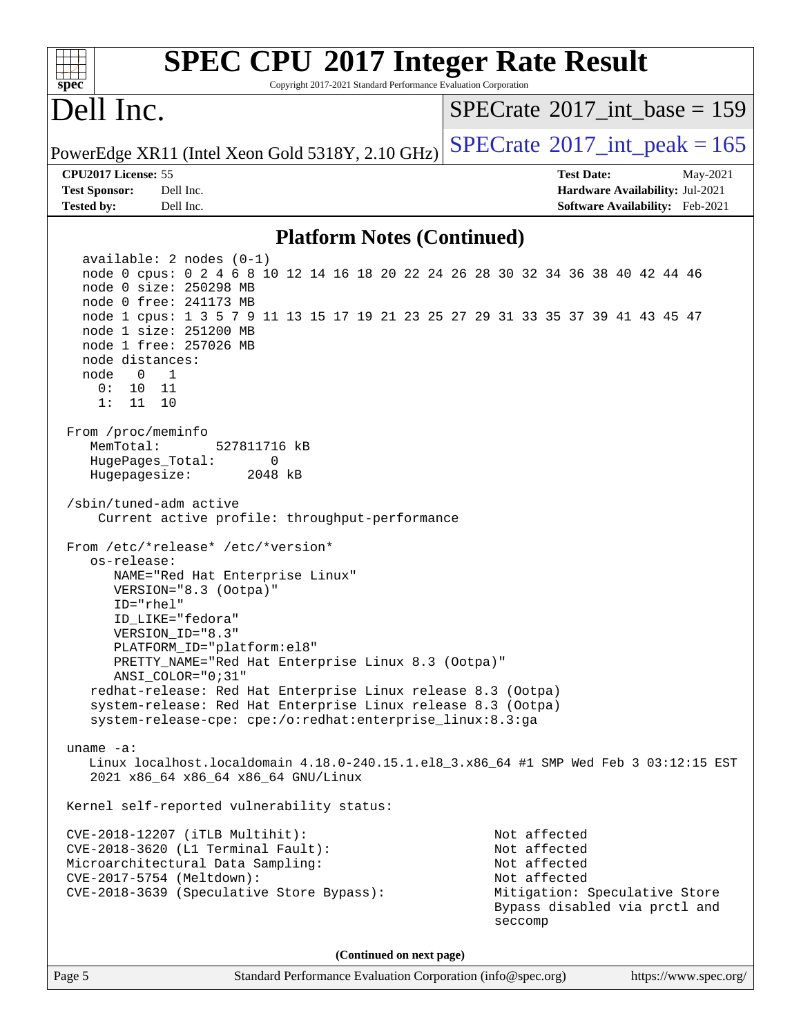| <b>SPEC CPU®2017 Integer Rate Result</b><br>Copyright 2017-2021 Standard Performance Evaluation Corporation<br>spec                                                                                                                                                                                                                                                                                                                                                      |                                                                                                                                           |
|--------------------------------------------------------------------------------------------------------------------------------------------------------------------------------------------------------------------------------------------------------------------------------------------------------------------------------------------------------------------------------------------------------------------------------------------------------------------------|-------------------------------------------------------------------------------------------------------------------------------------------|
| Dell Inc.                                                                                                                                                                                                                                                                                                                                                                                                                                                                | $SPECTate$ <sup>®</sup> 2017_int_base = 159                                                                                               |
| PowerEdge XR11 (Intel Xeon Gold 5318Y, 2.10 GHz)                                                                                                                                                                                                                                                                                                                                                                                                                         | $SPECTate$ <sup>®</sup> 2017_int_peak = 165                                                                                               |
| CPU2017 License: 55                                                                                                                                                                                                                                                                                                                                                                                                                                                      | <b>Test Date:</b><br>May-2021                                                                                                             |
| Dell Inc.<br><b>Test Sponsor:</b>                                                                                                                                                                                                                                                                                                                                                                                                                                        | Hardware Availability: Jul-2021                                                                                                           |
| Dell Inc.<br><b>Tested by:</b>                                                                                                                                                                                                                                                                                                                                                                                                                                           | Software Availability: Feb-2021                                                                                                           |
| <b>Platform Notes (Continued)</b>                                                                                                                                                                                                                                                                                                                                                                                                                                        |                                                                                                                                           |
| $available: 2 nodes (0-1)$<br>node 0 cpus: 0 2 4 6 8 10 12 14 16 18 20 22 24 26 28 30 32 34 36 38 40 42 44 46<br>node 0 size: 250298 MB<br>node 0 free: 241173 MB<br>node 1 cpus: 1 3 5 7 9 11 13 15 17 19 21 23 25 27 29 31 33 35 37 39 41 43 45 47<br>node 1 size: 251200 MB<br>node 1 free: 257026 MB<br>node distances:<br>node<br>$\overline{0}$<br>1<br>0 :<br>10<br>- 11<br>1:<br>11<br>10                                                                        |                                                                                                                                           |
| From /proc/meminfo<br>MemTotal:<br>527811716 kB<br>HugePages_Total:<br>0<br>Hugepagesize:<br>2048 kB<br>/sbin/tuned-adm active<br>Current active profile: throughput-performance                                                                                                                                                                                                                                                                                         |                                                                                                                                           |
| From /etc/*release* /etc/*version*<br>os-release:<br>NAME="Red Hat Enterprise Linux"<br>VERSION="8.3 (Ootpa)"<br>ID="rhel"<br>ID_LIKE="fedora"<br>VERSION ID="8.3"<br>PLATFORM_ID="platform:el8"<br>PRETTY_NAME="Red Hat Enterprise Linux 8.3 (Ootpa)"<br>ANSI COLOR="0;31"<br>redhat-release: Red Hat Enterprise Linux release 8.3 (Ootpa)<br>system-release: Red Hat Enterprise Linux release 8.3 (Ootpa)<br>system-release-cpe: cpe:/o:redhat:enterprise_linux:8.3:ga |                                                                                                                                           |
| uname $-a$ :<br>Linux localhost.localdomain 4.18.0-240.15.1.el8_3.x86_64 #1 SMP Wed Feb 3 03:12:15 EST<br>2021 x86_64 x86_64 x86_64 GNU/Linux                                                                                                                                                                                                                                                                                                                            |                                                                                                                                           |
| Kernel self-reported vulnerability status:                                                                                                                                                                                                                                                                                                                                                                                                                               |                                                                                                                                           |
| CVE-2018-12207 (iTLB Multihit):<br>CVE-2018-3620 (L1 Terminal Fault):<br>Microarchitectural Data Sampling:<br>CVE-2017-5754 (Meltdown):<br>CVE-2018-3639 (Speculative Store Bypass):                                                                                                                                                                                                                                                                                     | Not affected<br>Not affected<br>Not affected<br>Not affected<br>Mitigation: Speculative Store<br>Bypass disabled via prctl and<br>seccomp |
| (Continued on next page)                                                                                                                                                                                                                                                                                                                                                                                                                                                 |                                                                                                                                           |
| Page 5<br>Standard Performance Evaluation Corporation (info@spec.org)                                                                                                                                                                                                                                                                                                                                                                                                    | https://www.spec.org/                                                                                                                     |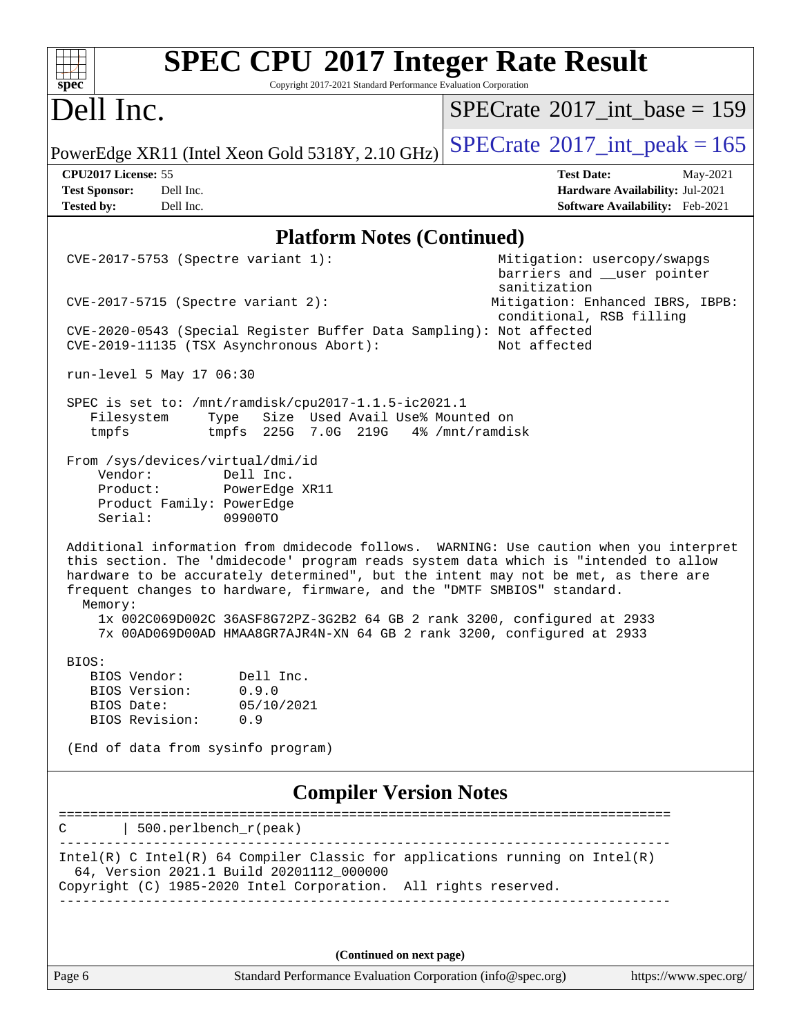| <b>SPEC CPU®2017 Integer Rate Result</b><br>Copyright 2017-2021 Standard Performance Evaluation Corporation<br>spec <sup>®</sup>                                                                                                                                                                                                                                                                                                                                                                               |                                                                                                     |
|----------------------------------------------------------------------------------------------------------------------------------------------------------------------------------------------------------------------------------------------------------------------------------------------------------------------------------------------------------------------------------------------------------------------------------------------------------------------------------------------------------------|-----------------------------------------------------------------------------------------------------|
| Dell Inc.                                                                                                                                                                                                                                                                                                                                                                                                                                                                                                      | $SPECrate^{\circledast}2017\_int\_base = 159$                                                       |
| PowerEdge XR11 (Intel Xeon Gold 5318Y, 2.10 GHz)                                                                                                                                                                                                                                                                                                                                                                                                                                                               | $SPECrate^{\circ}2017\_int\_peak = 165$                                                             |
| CPU2017 License: 55<br>Dell Inc.<br><b>Test Sponsor:</b><br>Tested by:<br>Dell Inc.                                                                                                                                                                                                                                                                                                                                                                                                                            | <b>Test Date:</b><br>May-2021<br>Hardware Availability: Jul-2021<br>Software Availability: Feb-2021 |
| <b>Platform Notes (Continued)</b>                                                                                                                                                                                                                                                                                                                                                                                                                                                                              |                                                                                                     |
| CVE-2017-5753 (Spectre variant 1):                                                                                                                                                                                                                                                                                                                                                                                                                                                                             | Mitigation: usercopy/swapgs<br>barriers and __user pointer<br>sanitization                          |
| $CVE-2017-5715$ (Spectre variant 2):                                                                                                                                                                                                                                                                                                                                                                                                                                                                           | Mitigation: Enhanced IBRS, IBPB:<br>conditional, RSB filling                                        |
| CVE-2020-0543 (Special Register Buffer Data Sampling): Not affected<br>CVE-2019-11135 (TSX Asynchronous Abort):                                                                                                                                                                                                                                                                                                                                                                                                | Not affected                                                                                        |
| run-level 5 May 17 06:30                                                                                                                                                                                                                                                                                                                                                                                                                                                                                       |                                                                                                     |
| SPEC is set to: /mnt/ramdisk/cpu2017-1.1.5-ic2021.1<br>Size Used Avail Use% Mounted on<br>Filesystem<br>Type<br>225G 7.0G 219G 4% /mnt/ramdisk<br>tmpfs<br>tmpfs                                                                                                                                                                                                                                                                                                                                               |                                                                                                     |
| From /sys/devices/virtual/dmi/id<br>Vendor:<br>Dell Inc.<br>Product:<br>PowerEdge XR11<br>Product Family: PowerEdge<br>Serial:<br>09900TO                                                                                                                                                                                                                                                                                                                                                                      |                                                                                                     |
| Additional information from dmidecode follows. WARNING: Use caution when you interpret<br>this section. The 'dmidecode' program reads system data which is "intended to allow<br>hardware to be accurately determined", but the intent may not be met, as there are<br>frequent changes to hardware, firmware, and the "DMTF SMBIOS" standard.<br>Memory:<br>1x 002C069D002C 36ASF8G72PZ-3G2B2 64 GB 2 rank 3200, configured at 2933<br>7x 00AD069D00AD HMAA8GR7AJR4N-XN 64 GB 2 rank 3200, configured at 2933 |                                                                                                     |
| BIOS:<br>BIOS Vendor:<br>Dell Inc.<br>BIOS Version:<br>0.9.0<br>BIOS Date:<br>05/10/2021<br>BIOS Revision:<br>0.9                                                                                                                                                                                                                                                                                                                                                                                              |                                                                                                     |
| (End of data from sysinfo program)                                                                                                                                                                                                                                                                                                                                                                                                                                                                             |                                                                                                     |
| <b>Compiler Version Notes</b>                                                                                                                                                                                                                                                                                                                                                                                                                                                                                  |                                                                                                     |
| $500.perlbench_r(peak)$                                                                                                                                                                                                                                                                                                                                                                                                                                                                                        |                                                                                                     |
| Intel(R) C Intel(R) 64 Compiler Classic for applications running on $Intel(R)$<br>64, Version 2021.1 Build 20201112_000000<br>Copyright (C) 1985-2020 Intel Corporation. All rights reserved.<br>_____________________________________                                                                                                                                                                                                                                                                         |                                                                                                     |
| (Continued on next page)                                                                                                                                                                                                                                                                                                                                                                                                                                                                                       |                                                                                                     |

Page 6 Standard Performance Evaluation Corporation [\(info@spec.org\)](mailto:info@spec.org) <https://www.spec.org/>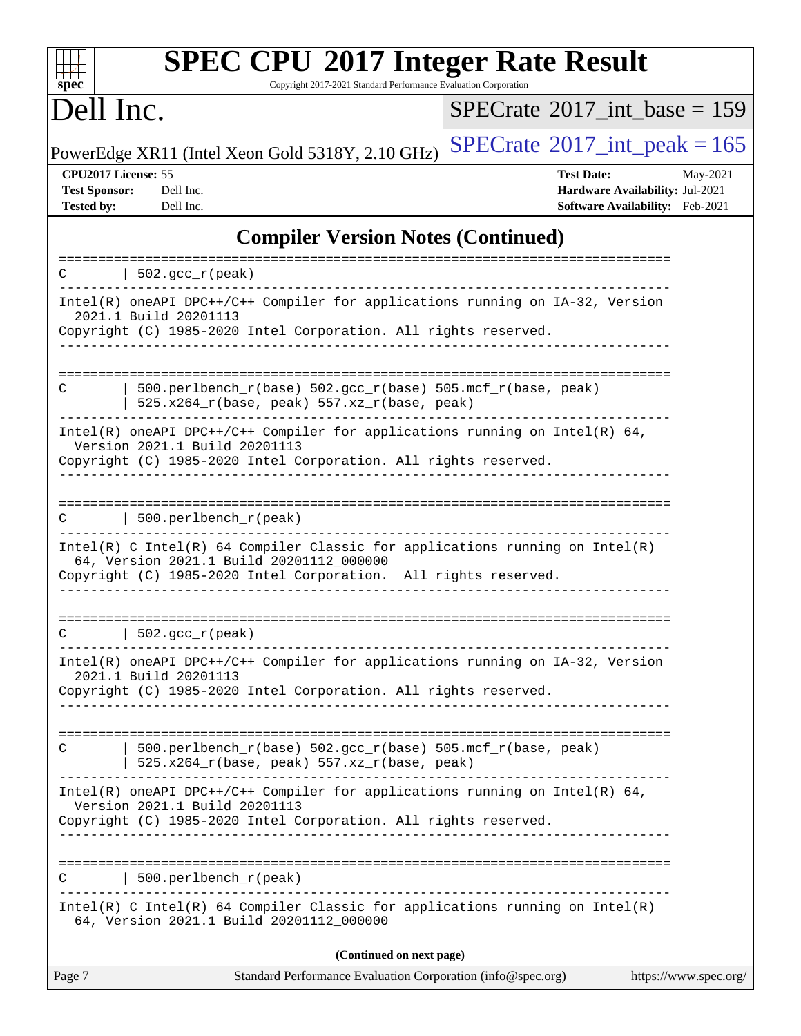| <b>SPEC CPU®2017 Integer Rate Result</b><br>Copyright 2017-2021 Standard Performance Evaluation Corporation<br>$spec^*$                                                                       |                                                                                                     |
|-----------------------------------------------------------------------------------------------------------------------------------------------------------------------------------------------|-----------------------------------------------------------------------------------------------------|
| Dell Inc.                                                                                                                                                                                     | $SPECrate^{\circledast}2017$ int base = 159                                                         |
| PowerEdge XR11 (Intel Xeon Gold 5318Y, 2.10 GHz)                                                                                                                                              | $SPECTate$ <sup>®</sup> 2017_int_peak = 165                                                         |
| CPU2017 License: 55<br><b>Test Sponsor:</b><br>Dell Inc.<br>Dell Inc.<br><b>Tested by:</b>                                                                                                    | <b>Test Date:</b><br>May-2021<br>Hardware Availability: Jul-2021<br>Software Availability: Feb-2021 |
| <b>Compiler Version Notes (Continued)</b>                                                                                                                                                     |                                                                                                     |
| $\vert$ 502.gcc_r(peak)<br>C                                                                                                                                                                  |                                                                                                     |
| Intel(R) oneAPI DPC++/C++ Compiler for applications running on IA-32, Version<br>2021.1 Build 20201113<br>Copyright (C) 1985-2020 Intel Corporation. All rights reserved.                     |                                                                                                     |
| 500.perlbench_r(base) 502.gcc_r(base) 505.mcf_r(base, peak)<br>C<br>$525.x264_r(base, peak) 557.xz_r(base, peak)$                                                                             |                                                                                                     |
| Intel(R) oneAPI DPC++/C++ Compiler for applications running on Intel(R) 64,<br>Version 2021.1 Build 20201113<br>Copyright (C) 1985-2020 Intel Corporation. All rights reserved.               |                                                                                                     |
| 500.perlbench_r(peak)<br>C                                                                                                                                                                    |                                                                                                     |
| Intel(R) C Intel(R) 64 Compiler Classic for applications running on $Intel(R)$<br>64, Version 2021.1 Build 20201112_000000<br>Copyright (C) 1985-2020 Intel Corporation. All rights reserved. |                                                                                                     |
| $\vert$ 502.gcc_r(peak)                                                                                                                                                                       |                                                                                                     |
| Intel(R) oneAPI DPC++/C++ Compiler for applications running on IA-32, Version<br>2021.1 Build 20201113<br>Copyright (C) 1985-2020 Intel Corporation. All rights reserved.                     |                                                                                                     |
| 500.perlbench_r(base) 502.gcc_r(base) 505.mcf_r(base, peak)<br>C<br>525.x264_r(base, peak) 557.xz_r(base, peak)                                                                               |                                                                                                     |
| Intel(R) oneAPI DPC++/C++ Compiler for applications running on Intel(R) 64,<br>Version 2021.1 Build 20201113<br>Copyright (C) 1985-2020 Intel Corporation. All rights reserved.               |                                                                                                     |
| 500.perlbench_r(peak)<br>$\mathcal{C}$                                                                                                                                                        |                                                                                                     |
| $Intel(R)$ C Intel(R) 64 Compiler Classic for applications running on Intel(R)<br>64, Version 2021.1 Build 20201112_000000                                                                    |                                                                                                     |
| (Continued on next page)                                                                                                                                                                      |                                                                                                     |
| Standard Performance Evaluation Corporation (info@spec.org)<br>Page 7                                                                                                                         | https://www.spec.org/                                                                               |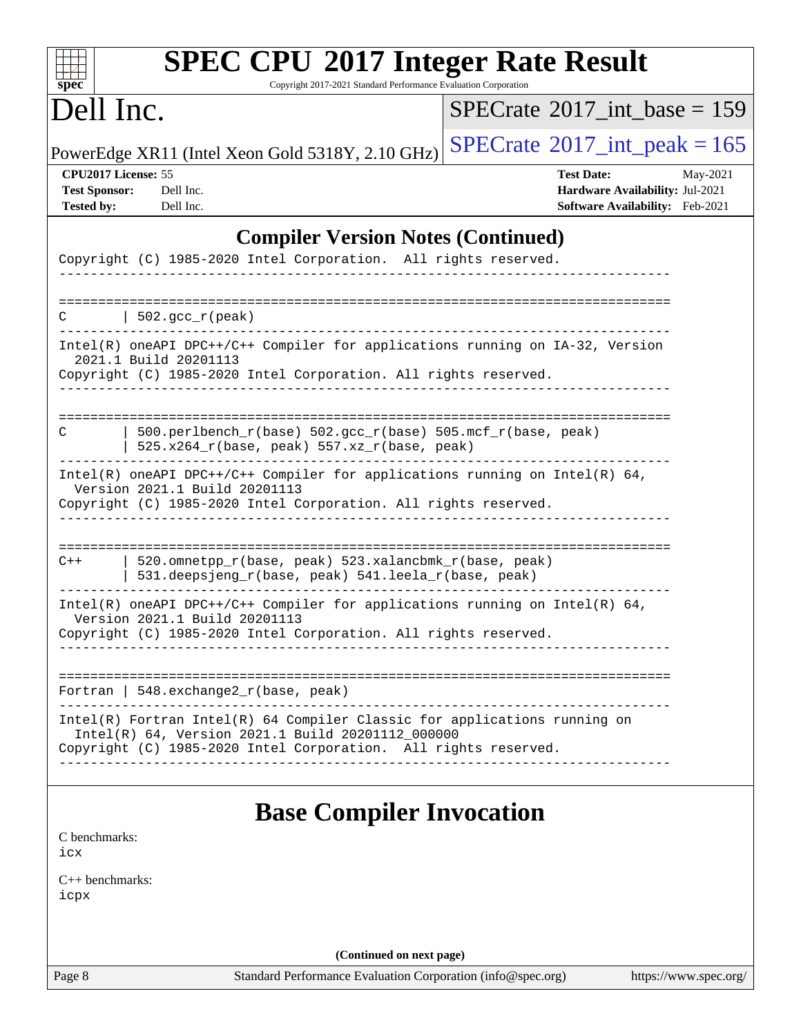| spec <sup>®</sup>                                                | <b>SPEC CPU®2017 Integer Rate Result</b><br>Copyright 2017-2021 Standard Performance Evaluation Corporation                                                                                       |                                                                                         |                       |
|------------------------------------------------------------------|---------------------------------------------------------------------------------------------------------------------------------------------------------------------------------------------------|-----------------------------------------------------------------------------------------|-----------------------|
| Dell Inc.                                                        |                                                                                                                                                                                                   | $SPECrate^{\circledast}2017$ int base = 159                                             |                       |
|                                                                  | PowerEdge XR11 (Intel Xeon Gold 5318Y, 2.10 GHz)                                                                                                                                                  | $SPECTate$ <sup>®</sup> 2017_int_peak = 165                                             |                       |
| CPU2017 License: 55<br><b>Test Sponsor:</b><br><b>Tested by:</b> | Dell Inc.<br>Dell Inc.                                                                                                                                                                            | <b>Test Date:</b><br>Hardware Availability: Jul-2021<br>Software Availability: Feb-2021 | May-2021              |
|                                                                  | <b>Compiler Version Notes (Continued)</b>                                                                                                                                                         |                                                                                         |                       |
|                                                                  | Copyright (C) 1985-2020 Intel Corporation. All rights reserved.                                                                                                                                   |                                                                                         |                       |
| C                                                                | $\vert$ 502.gcc_r(peak)                                                                                                                                                                           |                                                                                         |                       |
|                                                                  | Intel(R) oneAPI DPC++/C++ Compiler for applications running on IA-32, Version<br>2021.1 Build 20201113<br>Copyright (C) 1985-2020 Intel Corporation. All rights reserved.                         |                                                                                         |                       |
| C                                                                | 500.perlbench_r(base) 502.gcc_r(base) 505.mcf_r(base, peak)<br>525.x264_r(base, peak) 557.xz_r(base, peak)                                                                                        |                                                                                         |                       |
|                                                                  | Intel(R) oneAPI DPC++/C++ Compiler for applications running on Intel(R) $64$ ,<br>Version 2021.1 Build 20201113<br>Copyright (C) 1985-2020 Intel Corporation. All rights reserved.                |                                                                                         |                       |
| $C++$                                                            | 520.omnetpp_r(base, peak) 523.xalancbmk_r(base, peak)<br>531.deepsjeng_r(base, peak) 541.leela_r(base, peak)                                                                                      |                                                                                         |                       |
|                                                                  | Intel(R) oneAPI DPC++/C++ Compiler for applications running on Intel(R) $64$ ,<br>Version 2021.1 Build 20201113<br>Copyright (C) 1985-2020 Intel Corporation. All rights reserved.                |                                                                                         |                       |
|                                                                  | Fortran   548.exchange2_r(base, peak)                                                                                                                                                             |                                                                                         |                       |
|                                                                  | Intel(R) Fortran Intel(R) 64 Compiler Classic for applications running on<br>Intel(R) 64, Version 2021.1 Build 20201112_000000<br>Copyright (C) 1985-2020 Intel Corporation. All rights reserved. |                                                                                         |                       |
| C benchmarks:<br>icx                                             | <b>Base Compiler Invocation</b>                                                                                                                                                                   |                                                                                         |                       |
| $C_{++}$ benchmarks:<br>icpx                                     |                                                                                                                                                                                                   |                                                                                         |                       |
|                                                                  | (Continued on next page)                                                                                                                                                                          |                                                                                         |                       |
| Page 8                                                           | Standard Performance Evaluation Corporation (info@spec.org)                                                                                                                                       |                                                                                         | https://www.spec.org/ |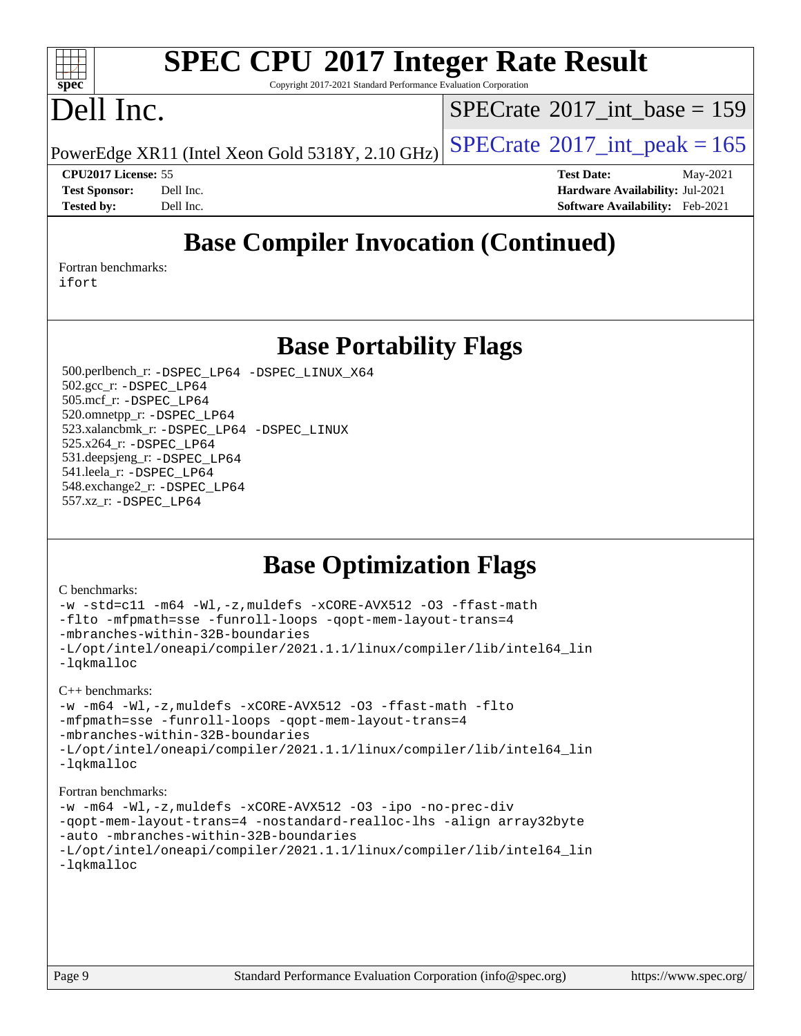### $\pm t$ **[spec](http://www.spec.org/)**

# **[SPEC CPU](http://www.spec.org/auto/cpu2017/Docs/result-fields.html#SPECCPU2017IntegerRateResult)[2017 Integer Rate Result](http://www.spec.org/auto/cpu2017/Docs/result-fields.html#SPECCPU2017IntegerRateResult)**

Copyright 2017-2021 Standard Performance Evaluation Corporation

## Dell Inc.

 $SPECTate@2017_int\_base = 159$ 

PowerEdge XR11 (Intel Xeon Gold 5318Y, 2.10 GHz)  $\text{SPECrate}^{\circ}2017\_int\_peak = 165$  $\text{SPECrate}^{\circ}2017\_int\_peak = 165$  $\text{SPECrate}^{\circ}2017\_int\_peak = 165$ 

**[CPU2017 License:](http://www.spec.org/auto/cpu2017/Docs/result-fields.html#CPU2017License)** 55 **[Test Date:](http://www.spec.org/auto/cpu2017/Docs/result-fields.html#TestDate)** May-2021 **[Test Sponsor:](http://www.spec.org/auto/cpu2017/Docs/result-fields.html#TestSponsor)** Dell Inc. **[Hardware Availability:](http://www.spec.org/auto/cpu2017/Docs/result-fields.html#HardwareAvailability)** Jul-2021 **[Tested by:](http://www.spec.org/auto/cpu2017/Docs/result-fields.html#Testedby)** Dell Inc. **[Software Availability:](http://www.spec.org/auto/cpu2017/Docs/result-fields.html#SoftwareAvailability)** Feb-2021

## **[Base Compiler Invocation \(Continued\)](http://www.spec.org/auto/cpu2017/Docs/result-fields.html#BaseCompilerInvocation)**

[Fortran benchmarks](http://www.spec.org/auto/cpu2017/Docs/result-fields.html#Fortranbenchmarks): [ifort](http://www.spec.org/cpu2017/results/res2021q3/cpu2017-20210618-27443.flags.html#user_FCbase_intel_ifort_8111460550e3ca792625aed983ce982f94888b8b503583aa7ba2b8303487b4d8a21a13e7191a45c5fd58ff318f48f9492884d4413fa793fd88dd292cad7027ca)

**[Base Portability Flags](http://www.spec.org/auto/cpu2017/Docs/result-fields.html#BasePortabilityFlags)**

 500.perlbench\_r: [-DSPEC\\_LP64](http://www.spec.org/cpu2017/results/res2021q3/cpu2017-20210618-27443.flags.html#b500.perlbench_r_basePORTABILITY_DSPEC_LP64) [-DSPEC\\_LINUX\\_X64](http://www.spec.org/cpu2017/results/res2021q3/cpu2017-20210618-27443.flags.html#b500.perlbench_r_baseCPORTABILITY_DSPEC_LINUX_X64) 502.gcc\_r: [-DSPEC\\_LP64](http://www.spec.org/cpu2017/results/res2021q3/cpu2017-20210618-27443.flags.html#suite_basePORTABILITY502_gcc_r_DSPEC_LP64) 505.mcf\_r: [-DSPEC\\_LP64](http://www.spec.org/cpu2017/results/res2021q3/cpu2017-20210618-27443.flags.html#suite_basePORTABILITY505_mcf_r_DSPEC_LP64) 520.omnetpp\_r: [-DSPEC\\_LP64](http://www.spec.org/cpu2017/results/res2021q3/cpu2017-20210618-27443.flags.html#suite_basePORTABILITY520_omnetpp_r_DSPEC_LP64) 523.xalancbmk\_r: [-DSPEC\\_LP64](http://www.spec.org/cpu2017/results/res2021q3/cpu2017-20210618-27443.flags.html#suite_basePORTABILITY523_xalancbmk_r_DSPEC_LP64) [-DSPEC\\_LINUX](http://www.spec.org/cpu2017/results/res2021q3/cpu2017-20210618-27443.flags.html#b523.xalancbmk_r_baseCXXPORTABILITY_DSPEC_LINUX) 525.x264\_r: [-DSPEC\\_LP64](http://www.spec.org/cpu2017/results/res2021q3/cpu2017-20210618-27443.flags.html#suite_basePORTABILITY525_x264_r_DSPEC_LP64) 531.deepsjeng\_r: [-DSPEC\\_LP64](http://www.spec.org/cpu2017/results/res2021q3/cpu2017-20210618-27443.flags.html#suite_basePORTABILITY531_deepsjeng_r_DSPEC_LP64) 541.leela\_r: [-DSPEC\\_LP64](http://www.spec.org/cpu2017/results/res2021q3/cpu2017-20210618-27443.flags.html#suite_basePORTABILITY541_leela_r_DSPEC_LP64) 548.exchange2\_r: [-DSPEC\\_LP64](http://www.spec.org/cpu2017/results/res2021q3/cpu2017-20210618-27443.flags.html#suite_basePORTABILITY548_exchange2_r_DSPEC_LP64) 557.xz\_r: [-DSPEC\\_LP64](http://www.spec.org/cpu2017/results/res2021q3/cpu2017-20210618-27443.flags.html#suite_basePORTABILITY557_xz_r_DSPEC_LP64)

### **[Base Optimization Flags](http://www.spec.org/auto/cpu2017/Docs/result-fields.html#BaseOptimizationFlags)**

#### [C benchmarks](http://www.spec.org/auto/cpu2017/Docs/result-fields.html#Cbenchmarks):

```
-w -std=c11 -m64 -Wl,-z,muldefs -xCORE-AVX512 -O3 -ffast-math
-flto -mfpmath=sse -funroll-loops -qopt-mem-layout-trans=4
-mbranches-within-32B-boundaries
-L/opt/intel/oneapi/compiler/2021.1.1/linux/compiler/lib/intel64_lin
-lqkmalloc
C++ benchmarks: 
-w -m64 -Wl,-z,muldefs -xCORE-AVX512 -O3 -ffast-math -flto
-mfpmath=sse -funroll-loops -qopt-mem-layout-trans=4
-mbranches-within-32B-boundaries
-L/opt/intel/oneapi/compiler/2021.1.1/linux/compiler/lib/intel64_lin
-lqkmalloc
Fortran benchmarks: 
-w -m64 -Wl,-z,muldefs -xCORE-AVX512 -O3 -ipo -no-prec-div
-qopt-mem-layout-trans=4 -nostandard-realloc-lhs -align array32byte
```

```
-auto -mbranches-within-32B-boundaries
```

```
-L/opt/intel/oneapi/compiler/2021.1.1/linux/compiler/lib/intel64_lin
-lqkmalloc
```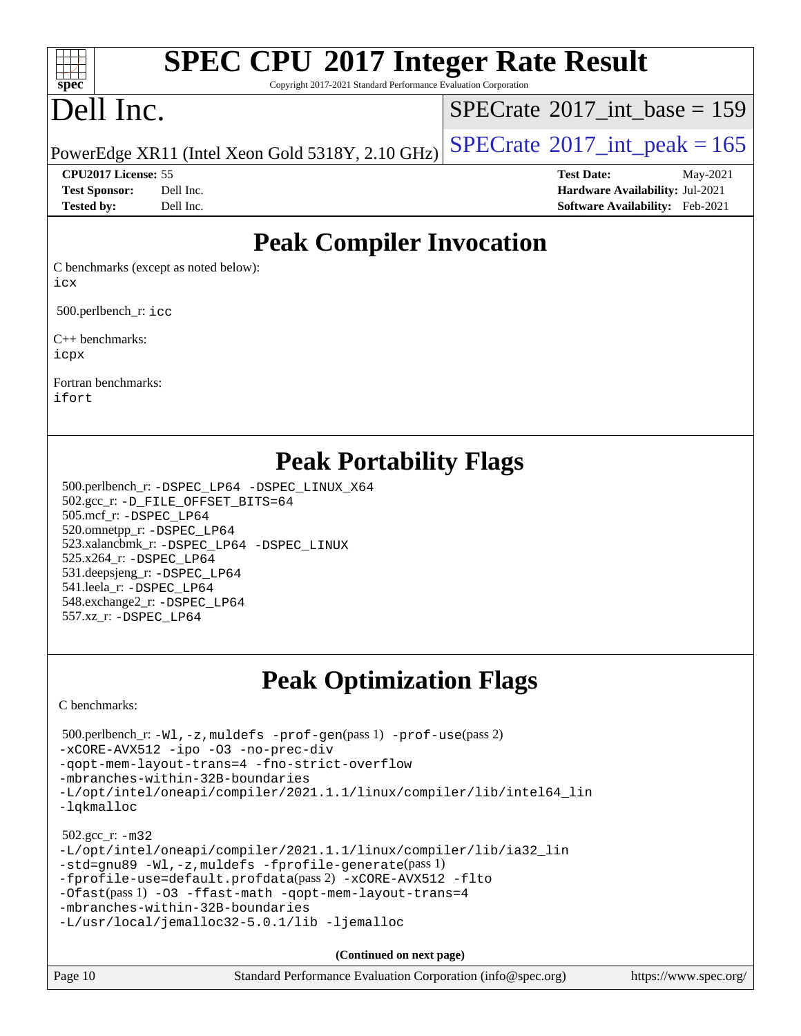### $+\ +$ **[spec](http://www.spec.org/)**

# **[SPEC CPU](http://www.spec.org/auto/cpu2017/Docs/result-fields.html#SPECCPU2017IntegerRateResult)[2017 Integer Rate Result](http://www.spec.org/auto/cpu2017/Docs/result-fields.html#SPECCPU2017IntegerRateResult)**

Copyright 2017-2021 Standard Performance Evaluation Corporation

## Dell Inc.

 $SPECTate@2017_int\_base = 159$ 

PowerEdge XR11 (Intel Xeon Gold 5318Y, 2.10 GHz)  $\text{SPECrate}$  $\text{SPECrate}$  $\text{SPECrate}$ <sup>®</sup>[2017\\_int\\_peak = 1](http://www.spec.org/auto/cpu2017/Docs/result-fields.html#SPECrate2017intpeak)65

### **[CPU2017 License:](http://www.spec.org/auto/cpu2017/Docs/result-fields.html#CPU2017License)** 55 **[Test Date:](http://www.spec.org/auto/cpu2017/Docs/result-fields.html#TestDate)** May-2021

**[Test Sponsor:](http://www.spec.org/auto/cpu2017/Docs/result-fields.html#TestSponsor)** Dell Inc. **[Hardware Availability:](http://www.spec.org/auto/cpu2017/Docs/result-fields.html#HardwareAvailability)** Jul-2021 **[Tested by:](http://www.spec.org/auto/cpu2017/Docs/result-fields.html#Testedby)** Dell Inc. **[Software Availability:](http://www.spec.org/auto/cpu2017/Docs/result-fields.html#SoftwareAvailability)** Feb-2021

### **[Peak Compiler Invocation](http://www.spec.org/auto/cpu2017/Docs/result-fields.html#PeakCompilerInvocation)**

[C benchmarks \(except as noted below\)](http://www.spec.org/auto/cpu2017/Docs/result-fields.html#Cbenchmarksexceptasnotedbelow): [icx](http://www.spec.org/cpu2017/results/res2021q3/cpu2017-20210618-27443.flags.html#user_CCpeak_intel_icx_fe2d28d19ae2a5db7c42fe0f2a2aed77cb715edd4aeb23434404a8be6683fe239869bb6ca8154ca98265c2e3b9226a719a0efe2953a4a7018c379b7010ccf087)

500.perlbench r: [icc](http://www.spec.org/cpu2017/results/res2021q3/cpu2017-20210618-27443.flags.html#user_peakCCLD500_perlbench_r_intel_icc_66fc1ee009f7361af1fbd72ca7dcefbb700085f36577c54f309893dd4ec40d12360134090235512931783d35fd58c0460139e722d5067c5574d8eaf2b3e37e92)

[C++ benchmarks:](http://www.spec.org/auto/cpu2017/Docs/result-fields.html#CXXbenchmarks) [icpx](http://www.spec.org/cpu2017/results/res2021q3/cpu2017-20210618-27443.flags.html#user_CXXpeak_intel_icpx_1e918ed14c436bf4b9b7c8bcdd51d4539fc71b3df010bd1e9f8732d9c34c2b2914e48204a846820f3c0ebb4095dea797a5c30b458ac0b6dffac65d78f781f5ca)

[Fortran benchmarks](http://www.spec.org/auto/cpu2017/Docs/result-fields.html#Fortranbenchmarks): [ifort](http://www.spec.org/cpu2017/results/res2021q3/cpu2017-20210618-27443.flags.html#user_FCpeak_intel_ifort_8111460550e3ca792625aed983ce982f94888b8b503583aa7ba2b8303487b4d8a21a13e7191a45c5fd58ff318f48f9492884d4413fa793fd88dd292cad7027ca)

### **[Peak Portability Flags](http://www.spec.org/auto/cpu2017/Docs/result-fields.html#PeakPortabilityFlags)**

 500.perlbench\_r: [-DSPEC\\_LP64](http://www.spec.org/cpu2017/results/res2021q3/cpu2017-20210618-27443.flags.html#b500.perlbench_r_peakPORTABILITY_DSPEC_LP64) [-DSPEC\\_LINUX\\_X64](http://www.spec.org/cpu2017/results/res2021q3/cpu2017-20210618-27443.flags.html#b500.perlbench_r_peakCPORTABILITY_DSPEC_LINUX_X64) 502.gcc\_r: [-D\\_FILE\\_OFFSET\\_BITS=64](http://www.spec.org/cpu2017/results/res2021q3/cpu2017-20210618-27443.flags.html#user_peakPORTABILITY502_gcc_r_file_offset_bits_64_5ae949a99b284ddf4e95728d47cb0843d81b2eb0e18bdfe74bbf0f61d0b064f4bda2f10ea5eb90e1dcab0e84dbc592acfc5018bc955c18609f94ddb8d550002c) 505.mcf\_r: [-DSPEC\\_LP64](http://www.spec.org/cpu2017/results/res2021q3/cpu2017-20210618-27443.flags.html#suite_peakPORTABILITY505_mcf_r_DSPEC_LP64) 520.omnetpp\_r: [-DSPEC\\_LP64](http://www.spec.org/cpu2017/results/res2021q3/cpu2017-20210618-27443.flags.html#suite_peakPORTABILITY520_omnetpp_r_DSPEC_LP64) 523.xalancbmk\_r: [-DSPEC\\_LP64](http://www.spec.org/cpu2017/results/res2021q3/cpu2017-20210618-27443.flags.html#suite_peakPORTABILITY523_xalancbmk_r_DSPEC_LP64) [-DSPEC\\_LINUX](http://www.spec.org/cpu2017/results/res2021q3/cpu2017-20210618-27443.flags.html#b523.xalancbmk_r_peakCXXPORTABILITY_DSPEC_LINUX) 525.x264\_r: [-DSPEC\\_LP64](http://www.spec.org/cpu2017/results/res2021q3/cpu2017-20210618-27443.flags.html#suite_peakPORTABILITY525_x264_r_DSPEC_LP64) 531.deepsjeng\_r: [-DSPEC\\_LP64](http://www.spec.org/cpu2017/results/res2021q3/cpu2017-20210618-27443.flags.html#suite_peakPORTABILITY531_deepsjeng_r_DSPEC_LP64) 541.leela\_r: [-DSPEC\\_LP64](http://www.spec.org/cpu2017/results/res2021q3/cpu2017-20210618-27443.flags.html#suite_peakPORTABILITY541_leela_r_DSPEC_LP64) 548.exchange2\_r: [-DSPEC\\_LP64](http://www.spec.org/cpu2017/results/res2021q3/cpu2017-20210618-27443.flags.html#suite_peakPORTABILITY548_exchange2_r_DSPEC_LP64) 557.xz\_r: [-DSPEC\\_LP64](http://www.spec.org/cpu2017/results/res2021q3/cpu2017-20210618-27443.flags.html#suite_peakPORTABILITY557_xz_r_DSPEC_LP64)

## **[Peak Optimization Flags](http://www.spec.org/auto/cpu2017/Docs/result-fields.html#PeakOptimizationFlags)**

[C benchmarks](http://www.spec.org/auto/cpu2017/Docs/result-fields.html#Cbenchmarks):

```
 500.perlbench_r: -Wl,-z,muldefs -prof-gen(pass 1) -prof-use(pass 2)
-xCORE-AVX512 -ipo -O3 -no-prec-div
-qopt-mem-layout-trans=4 -fno-strict-overflow
-mbranches-within-32B-boundaries
-L/opt/intel/oneapi/compiler/2021.1.1/linux/compiler/lib/intel64_lin
-lqkmalloc
 502.gcc_r: -m32
-L/opt/intel/oneapi/compiler/2021.1.1/linux/compiler/lib/ia32_lin
-std=gnu89 -Wl,-z,muldefs -fprofile-generate(pass 1)
-fprofile-use=default.profdata(pass 2) -xCORE-AVX512 -flto
-Ofast(pass 1) -O3 -ffast-math -qopt-mem-layout-trans=4
-mbranches-within-32B-boundaries
-L/usr/local/jemalloc32-5.0.1/lib -ljemalloc
```
**(Continued on next page)**

| Page 10 | Standard Performance Evaluation Corporation (info@spec.org) | https://www.spec.org/ |
|---------|-------------------------------------------------------------|-----------------------|